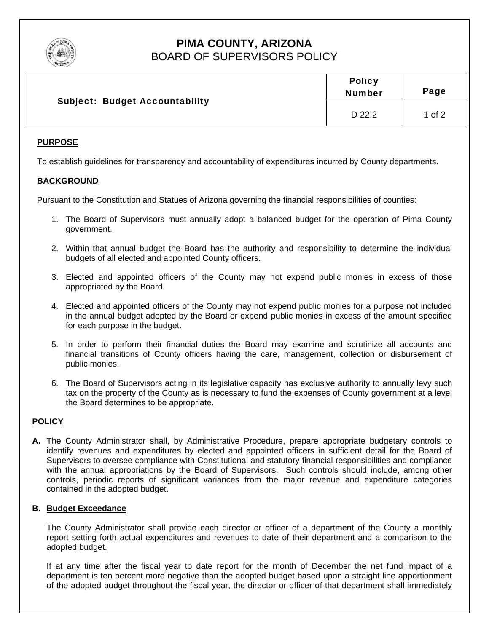

# PIMA COUNTY, ARIZONA **BOARD OF SUPERVISORS POLICY**

| <b>Subject: Budget Accountability</b> | <b>Policy</b><br><b>Number</b> | Page     |
|---------------------------------------|--------------------------------|----------|
|                                       | D 22.2                         | 1 of $2$ |

# **PURPOSE**

To establish guidelines for transparency and accountability of expenditures incurred by County departments.

# **BACKGROUND**

Pursuant to the Constitution and Statues of Arizona governing the financial responsibilities of counties:

- 1. The Board of Supervisors must annually adopt a balanced budget for the operation of Pima County government.
- 2. Within that annual budget the Board has the authority and responsibility to determine the individual budgets of all elected and appointed County officers.
- 3. Elected and appointed officers of the County may not expend public monies in excess of those appropriated by the Board.
- 4. Elected and appointed officers of the County may not expend public monies for a purpose not included in the annual budget adopted by the Board or expend public monies in excess of the amount specified for each purpose in the budget.
- 5. In order to perform their financial duties the Board may examine and scrutinize all accounts and financial transitions of County officers having the care, management, collection or disbursement of public monies.
- 6. The Board of Supervisors acting in its legislative capacity has exclusive authority to annually levy such tax on the property of the County as is necessary to fund the expenses of County government at a level the Board determines to be appropriate.

# **POLICY**

A. The County Administrator shall, by Administrative Procedure, prepare appropriate budgetary controls to identify revenues and expenditures by elected and appointed officers in sufficient detail for the Board of Supervisors to oversee compliance with Constitutional and statutory financial responsibilities and compliance with the annual appropriations by the Board of Supervisors. Such controls should include, among other controls, periodic reports of significant variances from the major revenue and expenditure categories contained in the adopted budget.

# **B. Budget Exceedance**

The County Administrator shall provide each director or officer of a department of the County a monthly report setting forth actual expenditures and revenues to date of their department and a comparison to the adopted budget.

If at any time after the fiscal year to date report for the month of December the net fund impact of a department is ten percent more negative than the adopted budget based upon a straight line apportionment of the adopted budget throughout the fiscal year, the director or officer of that department shall immediately